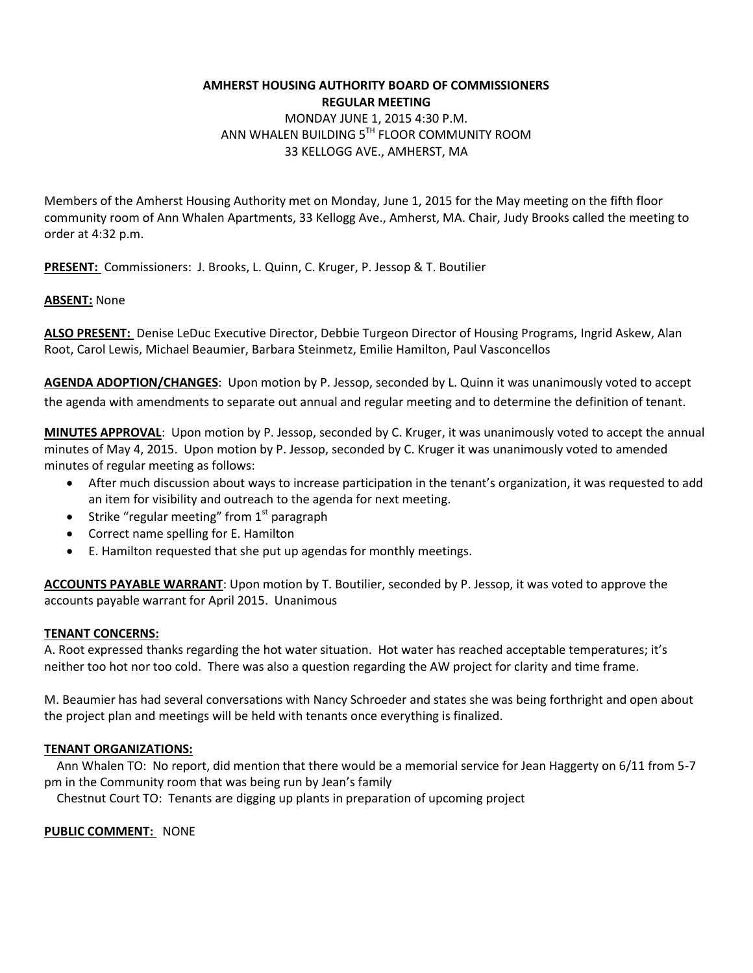### **AMHERST HOUSING AUTHORITY BOARD OF COMMISSIONERS REGULAR MEETING**  MONDAY JUNE 1, 2015 4:30 P.M. ANN WHALEN BUILDING 5TH FLOOR COMMUNITY ROOM 33 KELLOGG AVE., AMHERST, MA

Members of the Amherst Housing Authority met on Monday, June 1, 2015 for the May meeting on the fifth floor community room of Ann Whalen Apartments, 33 Kellogg Ave., Amherst, MA. Chair, Judy Brooks called the meeting to order at 4:32 p.m.

**PRESENT:** Commissioners: J. Brooks, L. Quinn, C. Kruger, P. Jessop & T. Boutilier

### **ABSENT:** None

**ALSO PRESENT:** Denise LeDuc Executive Director, Debbie Turgeon Director of Housing Programs, Ingrid Askew, Alan Root, Carol Lewis, Michael Beaumier, Barbara Steinmetz, Emilie Hamilton, Paul Vasconcellos

**AGENDA ADOPTION/CHANGES**: Upon motion by P. Jessop, seconded by L. Quinn it was unanimously voted to accept the agenda with amendments to separate out annual and regular meeting and to determine the definition of tenant.

**MINUTES APPROVAL**: Upon motion by P. Jessop, seconded by C. Kruger, it was unanimously voted to accept the annual minutes of May 4, 2015. Upon motion by P. Jessop, seconded by C. Kruger it was unanimously voted to amended minutes of regular meeting as follows:

- After much discussion about ways to increase participation in the tenant's organization, it was requested to add an item for visibility and outreach to the agenda for next meeting.
- Strike "regular meeting" from  $1<sup>st</sup>$  paragraph
- Correct name spelling for E. Hamilton
- E. Hamilton requested that she put up agendas for monthly meetings.

**ACCOUNTS PAYABLE WARRANT**: Upon motion by T. Boutilier, seconded by P. Jessop, it was voted to approve the accounts payable warrant for April 2015. Unanimous

#### **TENANT CONCERNS:**

A. Root expressed thanks regarding the hot water situation. Hot water has reached acceptable temperatures; it's neither too hot nor too cold. There was also a question regarding the AW project for clarity and time frame.

M. Beaumier has had several conversations with Nancy Schroeder and states she was being forthright and open about the project plan and meetings will be held with tenants once everything is finalized.

# **TENANT ORGANIZATIONS:**

 Ann Whalen TO: No report, did mention that there would be a memorial service for Jean Haggerty on 6/11 from 5-7 pm in the Community room that was being run by Jean's family

Chestnut Court TO: Tenants are digging up plants in preparation of upcoming project

#### **PUBLIC COMMENT:** NONE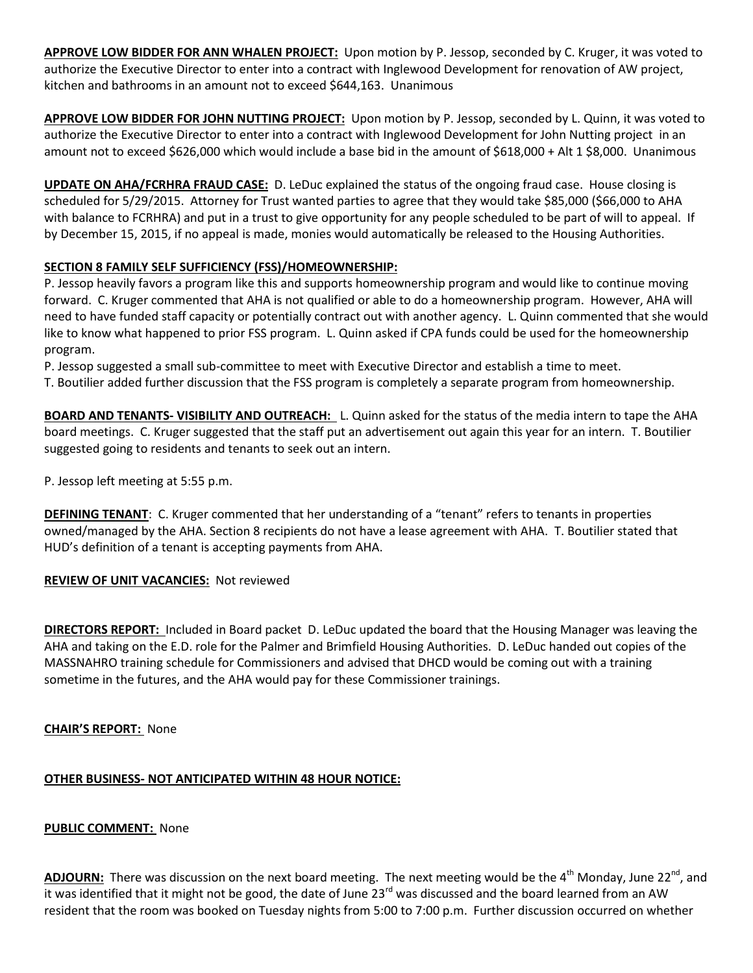**APPROVE LOW BIDDER FOR ANN WHALEN PROJECT:** Upon motion by P. Jessop, seconded by C. Kruger, it was voted to authorize the Executive Director to enter into a contract with Inglewood Development for renovation of AW project, kitchen and bathrooms in an amount not to exceed \$644,163. Unanimous

**APPROVE LOW BIDDER FOR JOHN NUTTING PROJECT:** Upon motion by P. Jessop, seconded by L. Quinn, it was voted to authorize the Executive Director to enter into a contract with Inglewood Development for John Nutting project in an amount not to exceed \$626,000 which would include a base bid in the amount of \$618,000 + Alt 1 \$8,000. Unanimous

**UPDATE ON AHA/FCRHRA FRAUD CASE:** D. LeDuc explained the status of the ongoing fraud case. House closing is scheduled for 5/29/2015. Attorney for Trust wanted parties to agree that they would take \$85,000 (\$66,000 to AHA with balance to FCRHRA) and put in a trust to give opportunity for any people scheduled to be part of will to appeal. If by December 15, 2015, if no appeal is made, monies would automatically be released to the Housing Authorities.

# **SECTION 8 FAMILY SELF SUFFICIENCY (FSS)/HOMEOWNERSHIP:**

P. Jessop heavily favors a program like this and supports homeownership program and would like to continue moving forward. C. Kruger commented that AHA is not qualified or able to do a homeownership program. However, AHA will need to have funded staff capacity or potentially contract out with another agency. L. Quinn commented that she would like to know what happened to prior FSS program. L. Quinn asked if CPA funds could be used for the homeownership program.

P. Jessop suggested a small sub-committee to meet with Executive Director and establish a time to meet.

T. Boutilier added further discussion that the FSS program is completely a separate program from homeownership.

**BOARD AND TENANTS- VISIBILITY AND OUTREACH:** L. Quinn asked for the status of the media intern to tape the AHA board meetings. C. Kruger suggested that the staff put an advertisement out again this year for an intern. T. Boutilier suggested going to residents and tenants to seek out an intern.

P. Jessop left meeting at 5:55 p.m.

**DEFINING TENANT**: C. Kruger commented that her understanding of a "tenant" refers to tenants in properties owned/managed by the AHA. Section 8 recipients do not have a lease agreement with AHA. T. Boutilier stated that HUD's definition of a tenant is accepting payments from AHA.

# **REVIEW OF UNIT VACANCIES:** Not reviewed

**DIRECTORS REPORT:** Included in Board packet D. LeDuc updated the board that the Housing Manager was leaving the AHA and taking on the E.D. role for the Palmer and Brimfield Housing Authorities. D. LeDuc handed out copies of the MASSNAHRO training schedule for Commissioners and advised that DHCD would be coming out with a training sometime in the futures, and the AHA would pay for these Commissioner trainings.

#### **CHAIR'S REPORT:** None

# **OTHER BUSINESS- NOT ANTICIPATED WITHIN 48 HOUR NOTICE:**

#### **PUBLIC COMMENT:** None

ADJOURN: There was discussion on the next board meeting. The next meeting would be the 4<sup>th</sup> Monday, June 22<sup>nd</sup>, and it was identified that it might not be good, the date of June  $23^{rd}$  was discussed and the board learned from an AW resident that the room was booked on Tuesday nights from 5:00 to 7:00 p.m. Further discussion occurred on whether